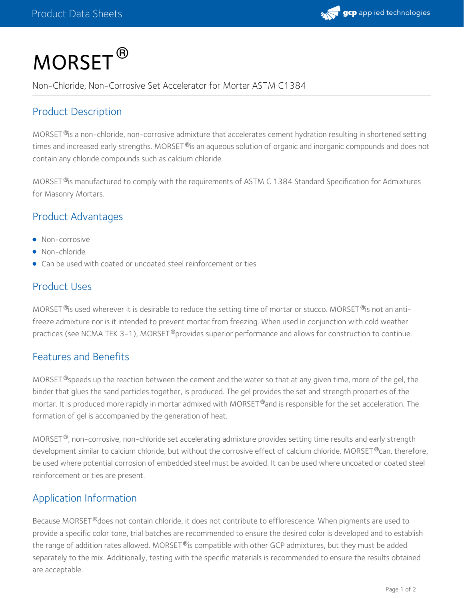

# $\mathsf{MORSET}^\circledR$

Non-Chloride, Non-Corrosive Set Accelerator for Mortar ASTM C1384

# Product Description

MORSET  $^\circ$  is a non-chloride, non-corrosive admixture that accelerates cement hydration resulting in shortened setting times and increased early strengths. MORSET  $^\circ$ is an aqueous solution of organic and inorganic compounds and does not contain any chloride compounds such as calcium chloride.

MORSET  $^{\circledR}$ is manufactured to comply with the requirements of ASTM C 1384 Standard Specification for Admixtures for Masonry Mortars.

# Product Advantages

- Non-corrosive
- Non-chloride
- Can be used with coated or uncoated steel reinforcement or ties

# Product Uses

MORSET  $^{\circledR}$ is used wherever it is desirable to reduce the setting time of mortar or stucco. MORSET  $^{\circledR}$ is not an antifreeze admixture nor is it intended to prevent mortar from freezing. When used in conjunction with cold weather practices (see NCMA TEK 3-1), MORSET®provides superior performance and allows for construction to continue.

# Features and Benefits

MORSET  $^\circledR$ speeds up the reaction between the cement and the water so that at any given time, more of the gel, the binder that glues the sand particles together, is produced. The gel provides the set and strength properties of the mortar. It is produced more rapidly in mortar admixed with MORSET  $^\circ$ and is responsible for the set acceleration. The formation of gel is accompanied by the generation of heat.

MORSET  $^\circ$ , non-corrosive, non-chloride set accelerating admixture provides setting time results and early strength development similar to calcium chloride, but without the corrosive effect of calcium chloride. MORSET®can, therefore, be used where potential corrosion of embedded steel must be avoided. It can be used where uncoated or coated steel reinforcement or ties are present.

# Application Information

Because MORSET®does not contain chloride, it does not contribute to efflorescence. When pigments are used to provide a specific color tone, trial batches are recommended to ensure the desired color is developed and to establish the range of addition rates allowed. MORSET®is compatible with other GCP admixtures, but they must be added separately to the mix. Additionally, testing with the specific materials is recommended to ensure the results obtained are acceptable.